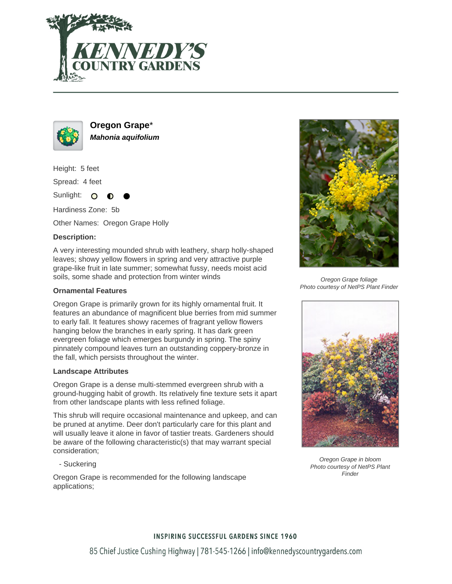



**Oregon Grape**\* **Mahonia aquifolium**

Height: 5 feet

Spread: 4 feet

Sunlight: O

Hardiness Zone: 5b

Other Names: Oregon Grape Holly

# **Description:**

A very interesting mounded shrub with leathery, sharp holly-shaped leaves; showy yellow flowers in spring and very attractive purple grape-like fruit in late summer; somewhat fussy, needs moist acid soils, some shade and protection from winter winds

## **Ornamental Features**

Oregon Grape is primarily grown for its highly ornamental fruit. It features an abundance of magnificent blue berries from mid summer to early fall. It features showy racemes of fragrant yellow flowers hanging below the branches in early spring. It has dark green evergreen foliage which emerges burgundy in spring. The spiny pinnately compound leaves turn an outstanding coppery-bronze in the fall, which persists throughout the winter.

### **Landscape Attributes**

Oregon Grape is a dense multi-stemmed evergreen shrub with a ground-hugging habit of growth. Its relatively fine texture sets it apart from other landscape plants with less refined foliage.

This shrub will require occasional maintenance and upkeep, and can be pruned at anytime. Deer don't particularly care for this plant and will usually leave it alone in favor of tastier treats. Gardeners should be aware of the following characteristic(s) that may warrant special consideration;

- Suckering

Oregon Grape is recommended for the following landscape applications;



Oregon Grape foliage Photo courtesy of NetPS Plant Finder



Oregon Grape in bloom Photo courtesy of NetPS Plant Finder

### **INSPIRING SUCCESSFUL GARDENS SINCE 1960**